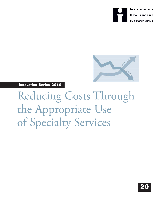



Innovation Series 2010

Reducing Costs Through the Appropriate Use of Specialty Services

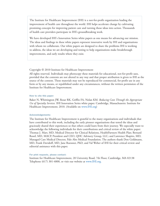The Institute for Healthcare Improvement (IHI) is a not-for-profit organization leading the improvement of health care throughout the world. IHI helps accelerate change by cultivating promising concepts for improving patient care and turning those ideas into action. Thousands of health care providers participate in IHI's groundbreaking work.

We have developed IHI's Innovation Series white papers as one means for advancing our mission. The ideas and findings in these white papers represent innovative work by IHI and organizations with whom we collaborate. Our white papers are designed to share the problems IHI is working to address, the ideas we are developing and testing to help organizations make breakthrough improvements, and early results where they exist.

# Copyright © 2010 Institute for Healthcare Improvement

All rights reserved. Individuals may photocopy these materials for educational, not-for-profit uses, provided that the contents are not altered in any way and that proper attribution is given to IHI as the source of the content. These materials may not be reproduced for commercial, for-profit use in any form or by any means, or republished under any circumstances, without the written permission of the Institute for Healthcare Improvement.

## How to cite this paper:

Baker N, Whittington JW, Resar RK, Griffin FA, Nolan KM. *Reducing Costs Through the Appropriate Use of Specialty Services.* IHI Innovation Series white paper. Cambridge, Massachusetts: Institute for Healthcare Improvement; 2010. (Available on www.IHI.org)

# Acknowledgements:

The Institute for Healthcare Improvement is grateful to the many organizations and individuals that have contributed to this work, including the early pioneer organizations that tested the ideas and graciously shared their experiences so that others could learn from their journey. We especially want to acknowledge the following individuals for their contributions and critical review of the white paper: Thomas J. Marr, MD, Medical Director for Clinical Relations, HealthPartners Health Plan; Bernard Rosof, MD, MACP, President and CEO, QHC Advisory Group, LLC; and Lawrence Shapiro, MD, Managed Care Medical Director, Palo Alto Medical Foundation. The authors thank Don Goldmann, MD, Frank Davidoff, MD, Jane Roessner, PhD, and Val Weber of IHI for their critical review and editorial assistance with this paper.

# For print requests, please contact:

Institute for Healthcare Improvement, 20 University Road, 7th Floor, Cambridge, MA 02138 Telephone (617) 301-4800, or visit our website at www.IHI.org.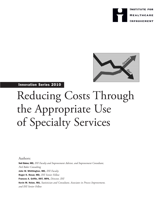



# Innovation Series 2010

# Reducing Costs Through the Appropriate Use of Specialty Services

Authors:

Neil Baker, MD, *IHI Faculty and Improvement Advisor, and Improvement Consultant, Neil Baker Consulting* John W. Whittington, MD, *IHI Faculty* Roger K. Resar, MD, *IHI Senior Fellow* Frances A. Griffin, RRT, MPA, *Director, IHI* Kevin M. Nolan, MA, *Statistician and Consultant, Associates in Process Improvement, and IHI Senior Fellow*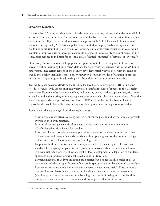# Executive Summary

For more than 20 years, evolving research has demonstrated overuse, misuse, and underuse of clinical services in American health care.<sup>12</sup> It has been estimated that by correcting these deviations from optimal care as much as 30 percent of health care costs, or approximately \$700 billion, could be eliminated without reducing quality.<sup>2</sup> The latter stipulation is crucial: done appropriately, cutting such costs would not be arbitrary but guided by clinical knowledge into areas where reductions in costs would maintain or improve quality. Fewer patients would be exposed unnecessarily to risk of harms. In this sense, costs become an indicator for potential areas of clinical "mismatch" of services, or "overuse."<sup>3</sup>

Eliminating this overuse offers a huge potential opportunity to help in the pursuit of universal coverage without rationing health care.<sup>4</sup> Methods for such reductions already exist in the US health care system, since certain regions of the country have demonstrably lower costs with the same or even higher quality than high-cost regions.<sup>1,2</sup> However, despite knowledge of variation in practice since at least 1938, progress in addressing it has been slow and costs continue to escalate.<sup>5</sup>

This white paper describes efforts by the Institute for Healthcare Improvement (IHI) to find ways to reduce overuse, with a focus on specialty services, a significant source of expense in the US health care system. Examples of success in identifying and reducing overuse without apparent negative impact on quality, and without using techniques experienced as coercive by physicians, are explored. Given the plethora of specialties and procedures, the object of IHI's work in this area has been to identify approaches that could be applied across many specialties, procedures, and types of organizations.

Several major themes emerged from these explorations:

- Most physicians are driven by doing what is right for the patient and are not aware of possible overuse in their own practices.
- Patterns of overuse generally develop where there is medical uncertainty due to lack of definitive scientific evidence for standards.
- In successful efforts to reduce overuse, physicians are engaged as the experts and as partners in identifying and interpreting variation data without prejudgment of the meaning of high or low utilization or focusing on outliers (e.g., high utilizers).
- Despite medical uncertainty, there are multiple examples of the emergence of consensus standards for subgroups of patients from physician discussions about variation which result in substantial reductions in utilization. Explicit local development or adaptation of standards appears to be important for sustainable reductions in utilization.
- Payment incentives that drive utilization are a barrier, but not necessarily a make-or-break determinant of whether specific areas of overuse in specialty care can be addressed successfully. Both fee-for-service and salaried physicians have participated in successful efforts to reduce overuse. A major determinant of success is choosing a clinical topic area for intervention (e.g., low pack pain or post-menopausal bleeding), as a result of taking into consideration multiple driving forces and barriers when addressing potential areas of overuse.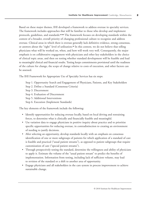Based on these major themes, IHI developed a framework to address overuse in specialty services. The framework includes approaches that will be familiar to those who develop and implement protocols, guidelines, and standards.<sup>6,7,8,9</sup> The framework focuses on developing standards within the context of a broader, overall priority of changing professional culture to recognize and address overuse. Clinical areas in which there is overuse generally lack definitive evidence, strong consensus, or answers about the "right" level of utilization.<sup>10</sup> In this context, we do not believe that telling physicians what will be worked on, when, and how will work very well. Consequently, the major emphasis is on collaborative engagement with physicians and other key stakeholders in the choice of clinical topic areas, and then on testing whether standard development will be feasible and lead to meaningful clinical and financial results. Testing keeps commitments provisional until the readiness of the culture for change, the scope of change relative to costs of execution, and other factors can be assessed.

The IHI Framework for Appropriate Use of Specialty Services has six steps:

- Step 1. Opportunity Search and Engagement of Physicians, Patients, and Key Stakeholders
- Step 2. Define a Standard (Consensus Criteria)
- Step 3. Discernment
- Step 4. Evaluation of Discernment
- Step 5. Additional Interventions
- Step 6. Execution (Implement Standards)

The key elements of the framework include the following:

- Identify opportunities for reducing overuse locally, based on local driving and restraining forces, to determine what is clinically and financially feasible and meaningful.
- Use variation data to engage physicians in positive inquiry about practice and to prioritize specific opportunities for reducing overuse, in contradistinction to creating an environment of needing to justify decisions.
- After selecting an opportunity, develop standards locally with an emphasis on consensus identification of one or more subgroups of patients for which application of a standard of care is feasible and practical ("usual patient streams"), as opposed to patient subgroups that require customization of care ("special patient streams").
- Through prospectively testing the standard, determine the willingness and ability of physicians to apply it. Estimate the volume of the "usual patient stream" to predict the benefits of implementation. Information from testing, including lack of sufficient volume, may lead to revision of the standard or a shift to another area of opportunity.
- Engage physicians and all stakeholders in the care system in process improvement to achieve sustainable change.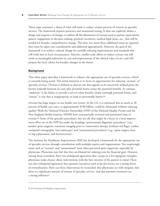These steps constitute a *theory* of what will work to reduce certain patterns of overuse in specialty services. The framework requires proactive and intentional testing. It does not explicitly define a design and sequence of changes to address all the dimensions of overuse such as patient expectations, patient engagement in decision making, payment incentives, medical-legal issues, etc., that will be needed for broader, comprehensive change. This does not mean these additional issues are ignored; they must be taken into consideration and addressed appropriately. However, the goal of the framework is to achieve cultural change by carefully selecting improvements and standards that will work best in local circumstances. Selective, smaller-scale efforts to reduce overuse can still result in meaningful reductions in cost and improvement of the clinical value of care, and will prepare the local culture for broader changes in the future.

### **Background**

This white paper describes a framework to enhance the appropriate use of specialty services, which is currently being tested. The initial intention is to focus on opportunities for reducing "overuse" of specialty services. Overuse is defined as clinical care that appears to be excessively utilized given the known tradeoffs between its costs plus potential harms versus the potential benefits. In contrast, "underuse" is the failure to provide a service when benefits clearly outweigh potential harms, and "misuse" is care that is inappropriate or leads to preventable harms.<sup>1,2</sup>

Overuse has huge impact in our health care system. In the US, it is estimated that as much as 30 percent of health care costs, or approximately \$700 billion, could be eliminated without reducing quality.<sup>2</sup> Both the National Priorities Partnership (NPP) of the National Quality Forum and the New England Health Institute (NEHI) have systematically reviewed and prioritized areas of overuse.<sup>12</sup> Some of the specialty procedures, but not all, that might be a focus of a local improvement effort are in the NPP list under the headings "unwarranted diagnostic procedures" (e.g., lumbar spine magnetic resonance imaging prior to conservative therapy [without red flags], cardiac computed tomography, and endoscopy) and "unwarranted procedures" (e.g., spine surgery, knee or hip replacement, and hysterectomy).

The Institute for Healthcare Improvement (IHI) has developed a framework for the appropriate use of specialty services through consultations with multiple experts and organizations. Not surprisingly, terms such as "overuse" and "unwarranted" were often perceived quite negatively, especially by physicians. Physicians may feel that they are blamed for ordering tests for financial gain. However, among those consulted, there was widespread agreement that, except in a few egregious examples, physicians make choices about interventions with the best interests of the patient in mind. There was also widespread agreement that payment incentives such as fee-for-service are a strong driver of overutilization. How can these observations be reconciled: that physicians act with integrity, that there is a significant amount of overuse of specialty services, and that payment incentives are a strong influence?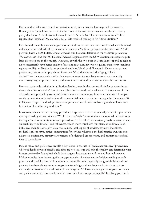For more than 20 years, research on variation in physician practice has suggested the answers. Recently, this research has moved to the forefront of the national debate on health care reform, partly thanks to Dr. Atul Gawande's article in *The New Yorker*, "The Cost Conundrum."<sup>14</sup> It is reputed that President Obama made this article required reading in his Administration.<sup>12</sup>

Dr. Gawande describes his investigation of medical care in two cities in Texas located a few hundred miles apart, one with \$14,834 per year of expense per Medicare patient and the other with \$7,901 per year, based on 2006 data. Similar expense data has been determined for Medicare patients by *The Dartmouth Atlas* for 306 Hospital Referral Regions across the US.<sup>13</sup> Variations in costs are quite large across regions in the country. However, as with the two cities in Texas, higher spending regions do not necessarily have better quality of care and may even have worse quality than lower-spending regions.14,15 High utilization is not predominantly explained by differences in illness rates, patient preferences, fees, or other population factors.<sup>14,15</sup> What this means is that "geography is destiny"<sup>16</sup> — the same patient with the same symptoms is more likely to receive a potentially unnecessary, inappropriate, or non-productive intervention, depending on *where* the care occurs.

How can such wide variation in utilization develop, even in the context of similar payment incentives such as fee-for-service? Part of the explanation has to do with evidence. In those areas of clinical medicine supported by strong evidence, the more common gap in care is underuse.<sup>10</sup> Examples are the prescription of beta-blockers after myocardial infarction and mammography for women 50 to 69 years of age. The development and implementation of evidence-based guidelines has been a key method for addressing underuse.<sup>17</sup>

In contrast, while not true for every procedure, it appears that overuse generally occurs for procedures not supported by strong evidence.<sup>1,2,10</sup> There are no "right" answers about the optimal indications or the "right" level of utilization for such procedures.<sup>18</sup> This inherent uncertainty leads to variation and vulnerability to additional local influences, which move thresholds for intervention lower. Such influences include how a physician was trained, local supply of services, payment incentives, medical-legal concerns, patient expectations for services, whether a medical practice owns its own diagnostic equipment, primary care patterns of ordering diagnostic tests, and primary care referral rates to specialists.<sup>10</sup>

Patient values and preferences are also a key factor in overuse in "preference-sensitive" procedures, where tradeoffs between benefits and risks are not clear cut and only the patient can determine what is most preferred.<sup>10</sup> Examples include back surgery, hysterectomy, or knee and hip replacement. Multiple studies have shown significant gaps in patient involvement in decision making in both primary and specialty care.<sup>19,20</sup> In randomized controlled trials, specially designed decision aids for patients have been shown to improve patient knowledge and involvement in decisions, and to reduce the utilization of several major elective surgeries.21,22 However, integration of patients' values and preferences in decisions and use of decision aids have not spread rapidly.<sup>5</sup> Involving patients in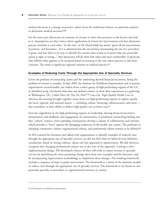medical decisions is a change in practice culture from the traditional reliance on physician opinion to determine medical necessity.<sup>22,23</sup>

For the most part, physicians are unaware of overuse in their own practices or the factors that lead to it. Assumptions are that science drives application of criteria for interventions and that physicians practice similarly to each other. "In the end," as Dr. David Eddy has stated, "given all the uncertainties, incentives, and heuristics....if it is admitted that the uncertainty surrounding the use of a procedure is great, and that there is no way to identify for certain what is best or to prove that any particular action is right or wrong..." then physicians will do what feels safest and most comfortable. A physician who follows what appears to be accepted based on training or the way others practice is safe from criticism. The result is significant regional variation in medical practice.<sup>24</sup>

### Examples of Reducing Costs Through the Appropriate Use of Specialty Services

Given the plethora of interacting causes and the underlying skewed financial incentives, fixing the problem of overuse is complex. In July 2009, the Institute for Healthcare Improvement and its partner organizations invited health care leaders from a select group of high-performing regions of the US, as identified using *Dartmouth Atlas* data and defined criteria, to share their experiences at a gathering in Washington, DC. Called *How Do They Do That?™ Low-Cost, High-Quality Health Care in America,* the meeting brought together teams from ten high-performing regions to explore openly the local, regional, and national factors — including culture, financing, infrastructures, and more that contribute to their ability to deliver high-quality care at lower cost.<sup>12</sup>

Four key ingredients in the high-performing regions are leadership, altering financial incentives, measurement and feedback, and engagement of communities. A prominent overarching finding was that "culture" matters: lower-spending communities develop a culture of collaboration and restraint which provides a "force" against the damaging tendencies of the health care system. The pathways to changing community culture, organizational culture, and professional culture remain to be defined.<sup>25</sup>

As IHI scanned the literature and talked with organizations to identify examples of reduced costs through the appropriate use of specialty services, we did not find what we believed were definitive conclusions, based on strong evidence, about one best approach to improvement. We did, however, recognize that changing professional culture was at the core of the approach. Lacking a clear implementation design, IHI developed a theory of what will work to reduce overuse in specialty services by identifying the most promising change ideas from case examples and the literature, and by incorporating improvement methodology to implement these changes. The resulting framework includes a sequence of steps to guide intervention. The framework is a *theory* of the elements needed to reduce costs through the appropriate use of specialty services. The framework is not based on one particular specialty or procedure or organizational structure or context.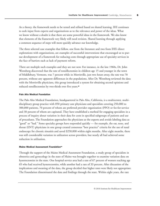As a theory, the framework needs to be tested and refined based on shared learning. IHI continues to seek input from experts and organizations as to the relevance and power of the ideas. What we know without a doubt is that there are some powerful ideas in the framework. We also know that elements of the framework very likely will need revision. Shared learning through applying a common sequence of steps will more quickly advance our knowledge.

The three selected case examples that follow, one from the literature and two from IHI's direct explorations with organizations, are examples of successful interventions that encouraged us to pursue development of a framework for reducing costs through appropriate use of specialty services in the face of barriers such as lack of payment reform.

There are multiple such examples and they are not new. For instance, in the late 1960s, Dr. John Wennberg discovered that the rate of tonsillectomies in children age 15 and younger in the town of Middlebury, Vermont, was 7 percent while in Morrisville, just two hours away, the rate was 70 percent, without any apparent differences in the populations. After Dr. Wennberg reviewed the data with the Morrisville physicians, this group introduced a system for obtaining second opinions and reduced tonsillectomies by two-thirds over five years.<sup>26</sup>

### Palo Alto Medical Foundation

The Palo Alto Medical Foundation, headquartered in Palo Alto, California, is a multicenter, multidisciplinary group practice with 850 primary care physicians and specialists covering 250,000 to 300,000 patients, 70 percent of whom are preferred provider organization (PPO) or fee-for-service and 30 percent of whom are capitated. They have established a method for engaging specialists in a process of inquiry about variation in their data for costs in specified subgroups of patients and use of procedures. The Foundation approaches the physicians as the experts and avoids labeling data as "good" or "bad." Some specialty groups have responded quickly — for example, the ear, nose, and throat (ENT) physicians in one group created consensus "best practice" criteria for the use of nasal endoscopy for chronic sinusitis and saved \$250,000 within eight months. After eight months, there was still considerable variation in utilization across providers, but nearly all had achieved some reduction in utilization.

### Maine Medical Assessment Foundation<sup>18</sup>

Through the support of the Maine Medical Assessment Foundation, a study group of specialists in obstetrics and gynecology in the state of Maine was brought together to examine variation data on hysterectomies in the state. One hospital service area had a rate of 67 percent of women reaching age 65 who had received hysterectomies, while another had a rate of 33 percent. After discussion of the implications and meaning of the data, the group decided that higher rates were likely not appropriate. The Foundation disseminated the data and findings through the state. Within eight years, the rate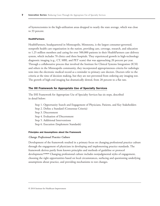of hysterectomies in the high-utilization areas dropped to nearly the state average, which was close to 33 percent.

### **HealthPartners**

HealthPartners, headquartered in Minneapolis, Minnesota, is the largest consumer-governed, nonprofit health care organization in the nation, providing care, coverage, research, and education to 1.25 million members and caring for over 500,000 patients in their HealthPartners care delivery system, which includes 70 clinics and three hospitals. They experienced growth in high-technology diagnostic imaging (e.g., CT, MRI, and PET scans) that was approaching 20 percent per year. Through a collaborative process that involved the Institute for Clinical Systems Integration (ICSI) and others in the Minneapolis community, they incorporated appropriateness criteria for radiologic tests into the electronic medical record as a reminder to primary care doctors. Doctors refer to the criteria at the time of decision making, but they are not prevented from ordering any imaging test. The growth of high-end imaging has dramatically slowed, from 20 percent to a flat rate.

### The IHI Framework for Appropriate Use of Specialty Services

The IHI Framework for Appropriate Use of Specialty Services has six steps, described in detail below:

Step 1. Opportunity Search and Engagement of Physicians, Patients, and Key Stakeholders

Step 2. Define a Standard (Consensus Criteria)

Step 3. Discernment

Step 4. Evaluation of Discernment

Step 5. Additional Interventions

Step 6. Execution (Implement Standards)

### Principles and Assumptions about the Framework

### *Change Professional Practice Culture*

Development of the framework resulted in a primary focus on changing professional practice culture through the engagement of physicians in developing and implementing practice standards. The framework derives partly from known principles and methods of guideline or protocol development.6,7,8,9,17 Changing professional culture includes nonjudgmental styles of engagement, choosing the right opportunities based on local circumstances, surfacing and questioning underlying assumptions about practice, and providing mechanisms to test changes.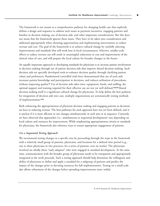The framework is not meant as a comprehensive pathway for changing health care that explicitly defines a design and sequence to address such issues as payment incentives, engaging patients and families in decision making, use of decision aids, and other important considerations. But this does not mean that the framework ignores these issues. They have to be taken into consideration and addressed appropriately when choosing opportunities and implementing interventions to reduce overuse and cost. The goal of the framework is to achieve cultural change by carefully selecting improvements and standards that will work best in local circumstances. Selective, smaller-scale efforts to reduce overuse can still result in meaningful reductions in cost and improvement of the clinical value of care, and will prepare the local culture for broader changes in the future.

An equally important approach to developing standards for physicians is to increase patient involvement in decision making through use of patient decision aids that improve shared decision making. Such decision aids are specially developed tools to enhance decision quality through clarifying patient values and preferences. Randomized controlled trials have demonstrated that use of such aids increases patient knowledge and participation in decisions, and reduces utilization of procedures without impacting quality.<sup>21</sup> Use of decision aids takes time, equipment, funds, and staffing; the optimal support and training required for their effective use are not yet well defined.21,22,23 Shared decision making itself is a significant cultural change for physicians. To help define the best pathway for integration of decision aids into care, multiple organizations are systematically testing methods of implementation.<sup>27,28</sup>

Both enhancing the appropriateness of physician decision making and engaging patients in decisions are keys to reducing overuse. The best pathways for each approach have not yet been defined, and it is unclear if it is most efficient to test changes simultaneously in each area or in sequence. Currently, we have observed that approaches (i.e., simultaneous or sequential development) vary depending on local culture and resources for improvement. While emphasizing appropriateness criteria or standards for physicians, the framework also reference ways to ensure appropriate engagement of patients.

## *Use a Sequential Testing Approach*

We recommend testing changes in a specific area by proceeding through the steps in the framework with a relatively small group of patients, physicians, and locations for a defined time period (e.g., one to three physicians in two practices, for a series of patients, over six weeks). The physicians involved are ideally those "early adopters" who were engaged in standard development. At the same time, communication with the broader group of physicians needs to be transparent and appropriately integrated as the work proceeds. Such a testing approach should help determine the willingness and ability of physicians to define and apply a standard for a subgroup of patients and predict the impact of the changes prior to devoting resources for full implementation. Testing on a small scale also allows refinement of the changes before spreading improvements more widely.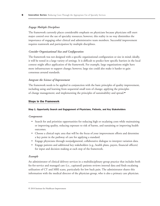# *Engage Multiple Disciplines*

The framework currently places considerable emphasis on physicians because physicians still exert major control over the use of specialty resources; however, this reality in no way diminishes the importance of engaging other clinical and administrative team members. Successful improvement requires teamwork and participation by multiple disciplines.

# *Consider Organizational Size and Configuration*

The framework was not designed with a specific organizational configuration or size in mind; ideally, it will be tested in a large variety of settings. It is difficult to predict how specific barriers in the local context might affect application of the framework. For example, large organizations might have more infrastructure to support change; however, large size could also make it harder to gain consensus around standards.

# *Integrate the Science of Improvement*

The framework needs to be applied in conjunction with the basic principles of quality improvement, including using and learning from sequential small tests of change; applying the principles of change management; and implementing the principles of sustainability and spread.<sup>29</sup>

# Steps in the Framework

### Step 1. Opportunity Search and Engagement of Physicians, Patients, and Key Stakeholders

# *Components*

- Search for and prioritize opportunities for reducing high or escalating costs while maintaining or improving quality, reducing exposure to risk of harms, and sustaining or improving health outcomes.
- Choose a clinical topic area that will be the focus of your improvement efforts and determine a key point in the pathway of care for applying a standard.
- Engage physicians through nonjudgmental, collaborative dialogue to interpret variation data.
- Engage patients and additional key stakeholders (e.g., health plans, payers, financial officers) for input and decision making at each step of the framework.

# *Example*

An administrator of clinical delivery services in a multidisciplinary group practice that includes both fee-for-service and managed care (i.e., capitated) patients reviews internal data and finds escalating utilization of CT and MRI scans, particularly for low back pain. The administrator shares this information with the medical director of the physician group, who is also a primary care physician.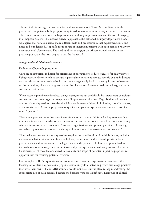The medical director agrees that more focused investigation of CT and MRI utilization in the practice offers a potentially large opportunity to reduce costs and unnecessary exposure to radiation. They decide to focus on both the large volume of ordering in primary care and the use of imaging in orthopedic surgery. The medical director approaches the orthopedic surgery department head, who agrees that variation across many different tests and procedures in that department exists and needs to be understood. A specific focus on use of imaging in patients with back pain is a relatively uncontroversial place to start. The medical director engages six primary care physicians in her practice group, and the team begins to test the framework.

## *Background and Additional Guidance*

# Define and Choose Opportunities

Costs are an important indicator for prioritizing opportunities to reduce overuse of specialty services. Using costs as a driver to reduce overuse is particularly important because specific quality indicators such as primary or intermediate health outcomes are generally hard to come by in areas of overuse. At the same time, physician judgment about the likely areas of overuse needs to be integrated with cost and variation data.

When costs are prominently involved, change management can be difficult. Past experiences of arbitrary cost cutting can create negative perceptions of improvement initiatives. Organizations addressing overuse of specialty services often describe initiatives in terms of their clinical value, cost effectiveness, or appropriateness. Costs, appropriateness, quality, and patient experience outcomes are part of a value "equation."

The various payment incentives are a factor for choosing a successful focus for improvement, but this factor is not a make-or-break determinant of success. Reductions in costs have been successfully achieved in fee-for-service situations. Also, even organizations with primarily capitated financing and salaried physicians experience escalating utilization, as well as variation across practices.<sup>30</sup>

Thus, reducing overuse of specialty services requires the consideration of multiple factors, including the state of relationships with all key stakeholders, the structure and relationships within local practices, data and information technology resources, the presence of physician opinion leaders, the likelihood of achieving consensus criteria, and prior experience in reducing overuse of services. Considering all of these factors related to feasibility and scope of potential impact helps prioritize opportunities for reducing potential overuse.

For example, in IHI's explorations in this area, more than one organization mentioned that focusing on cardiac diagnostic imaging in a community dominated by private cardiology practices that have their own CT and MRI scanners would not be a fruitful place to begin addressing the appropriate use of such services because the barriers were too significant. Examples of clinical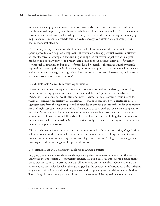topic areas where physician buy-in, consensus standards, and reductions have seemed more readily achieved despite payment barriers include use of nasal endoscopy by ENT specialists in chronic sinusitis, arthroscopy by orthopedic surgeons in shoulder bursitis, diagnostic imaging by primary care in acute low back pain, or hysterosocopy by obstetricians-gynecologists in post-menopausal bleeding.

Determining the key points at which physicians make decisions about whether or not to use a specific procedure can help focus improvement efforts for reducing potential overuse in primary or specialty care. For example, a standard might be applied for referral of patients with a given condition to a specialty service, to primary care decisions about patients' direct use of specialty services such as imaging, and/or to use of procedures by specialists themselves. Another possible approach is to develop the multiple standards, measures, and processes that are needed to cover an entire pathway of care (e.g., the diagnosis, adjunctive medical treatment, intervention, and follow-up in percutaneous coronary interventions).<sup>31</sup>

## Use Multiple Data Sources to Identify Opportunities

Organizations can use multiple methods to identify areas of high or escalating cost and high variation, including episode treatment group methodologies,<sup>32</sup> per capita cost analysis, *Dartmouth Atlas* data, and health plan and internal data. Episode treatment group methods, which are currently proprietary, use algorithmic techniques combined with electronic data to aggregate costs from the beginning to end of episodes of care for patients with similar conditions.<sup>32</sup> Areas of high cost can then be identified. The absence of such analytic tools does not appear to be a significant handicap because an organization can determine costs according to diagnostic groups and drill down into its billing data. The emphasis is to use all billing data and not just subsegments, such as capitated or Medicare patients only, to identify specialty services in which there may be potential overuse.

Clinical judgment is just as important as cost in order to avoid arbitrary cost cutting. Organizations will need to refer to the scientific literature as well as internal and external experience to identify, from a clinical perspective, specialty services with high utilization and/or high or escalating costs that may need closer investigation for potential overuse.

### Use Variation Data and Collaborative Dialogue to Engage Physicians

Engaging physicians in a collaborative dialogue using data on practice variation is at the heart of addressing the appropriate use of specialty services. Variation data call into question assumptions about practice, such as the assumption that all physicians practice similarly. Conversations with physicians are most effective when they are engaged as the experts to understand what the variation might mean. Variation data should be presented without prejudgment of high or low utilization. The main goal is to change practice culture — to generate sufficient question about current

<sup>© 2010</sup> Institute for Healthcare Improvement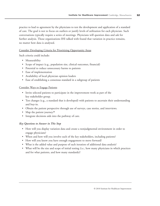practice to lead to agreement by the physicians to test the development and application of a standard of care. The goal is not to focus on outliers or justify levels of utilization for each physician. Such conversations typically require a series of meetings. Physicians will question data and ask for further analysis. Those organizations IHI talked with found that variation in practice remains, no matter how data is analyzed.

# Consider Developing Criteria for Prioritizing Opportunity Areas

Such criteria could include:

- Measurability
- Scope of impact (e.g., population size, clinical outcomes, financial)
- Potential to reduce unnecessary harms to patients
- Ease of implementation
- Availability of local physician opinion leaders
- Ease of establishing a consensus standard in a subgroup of patients

## Consider Ways to Engage Patients

- Invite selected patients to participate in the improvement work as part of the key stakeholder group.
- Test changes (e.g., a standard that is developed) with patients to ascertain their understanding and buy-in.
- Obtain the patient perspective through use of surveys, case stories, and interviews.
- Map the patient journey.<sup>33</sup>
- Integrate decisions aids into the pathway of care.

# *Key Questions to Answer in This Step*

- How will you display variation data and create a nonjudgmental environment in order to engage physicians?
- When and how will you involve each of the key stakeholders, including patients?
- How will you know you have enough engagement to move forward?
- What is the added value and purpose of each iteration of additional data analysis?
- What will be the size and scope of initial testing (i.e., how many physicians in which practices and for what patients, and how many standards)?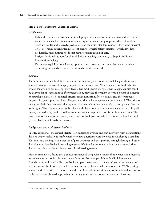### Step 2. Define a Standard (Consensus Criteria)

### *Components*

- Define the elements to consider in developing a consensus decision on a standard or criteria.
- Guide the stakeholders to consensus, starting with patient subgroups for which clinical care needs are similar and relatively predictable, and for which standardization is likely to be practical. These are "usual patient streams" as opposed to "special patient streams," which have less predictable, more unique needs that require customization of care.
- Design additional support for clinical decision making as needed (see Step 5. Additional Interventions below).
- Document explicitly the evidence, opinions, and projected outcomes that were considered in creating the standard. Set a date for updating the standard.

### *Example*

The administrator, medical director, and orthopedic surgeon review the available guidelines and selected literature on use of imaging in patients with back pain. While they do not find definitive criteria for when to do imaging, they decide that most physicians agree that imaging studies could be delayed for at least a month after presentation, provided the patient showed no signs of systemic or neurologic disease. The medical director seeks input from five colleagues and the orthopedic surgeon also gets input from five colleagues, and they achieve agreement on a standard. The primary care group feels that they need the support of patient educational materials to meet patient demands for imaging. They create a one-page brochure with the assistance of several members of the orthopedic surgery and radiology staff, as well as from nursing staff representatives from those specialties. Three patients who come into the primary care clinic for back pain are asked to review the brochure and give feedback, which leads to revisions.

### *Background and Additional Guidance*

In IHI's experience, the clinical literature on addressing overuse and our interviews with organizations did not always explicitly identify whether or how physicians were involved in developing a standard. This can leave the impression that use of peer awareness and peer pressure through sharing utilization data alone can be effective in reducing overuse. We found a few organizations that share variation data as the primary, if not sole, approach in addressing overuse.

More commonly, we found that a consensus standard along with a variety of implementation methods were elements of sustainable reductions of overuse. For example, Maine Medical Assessment Foundation found that "while…feedback and peer pressure can strongly influence the behavior of physicians, we also learned that when consensus cannot be reached, variations recur."<sup>34</sup> Also, using one method of practice change such as audit and feedback in isolation has not been found as effective as the use of multifaceted approaches, including guideline development, academic detailing,

<sup>© 2010</sup> Institute for Healthcare Improvement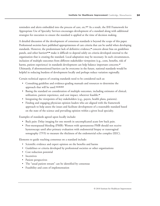reminders and alerts embedded into the process of care, etc.8,17 As a result, the IHI Framework for Appropriate Use of Specialty Services encourages development of a standard along with additional strategies for execution to ensure the standard is applied at the time of decision making.

A detailed discussion of the development of consensus standards is beyond the scope of this paper. Professional societies have published appropriateness of care criteria that can be useful when developing standards. However, the predominant lack of definitive evidence,<sup>35</sup> concern about bias on guidelines panels, and other barriers<sup>17,36</sup> make it difficult to depend solely on criteria developed external to the organization that is creating the standard. Local adaptation may be necessary. In such circumstances, inclusion of multiple outcomes from different stakeholder viewpoints (e.g., costs, benefits, risk of harms, patient experience) in standards development can help balance important concerns.<sup>37</sup> Ultimately, if aforementioned barriers can be overcome in the future, national standards would be helpful in reducing burdens of development locally and perhaps reduce variation regionally.

Certain technical aspects of creating standards need to be considered such as:

- Consulting guideline and evidence-grading manuals and resources to determine the approach that will be used.7,8,9,38,39,40
- Basing the standard on consideration of multiple outcomes, including estimates of clinical, utilization, patient experience, and cost impact, wherever feasible.<sup>37</sup>
- Integrating the viewpoints of key stakeholders (e.g., payers, health plans, patients).
- Finding and engaging physician opinion leaders who are aligned with the framework approach to help assess the issues and facilitate development of a reasonable standard based on the state of the science and prevailing opinion within a given local specialty.

Examples of standards agreed upon locally include:

- Back pain: Delay imaging for one month in uncomplicated acute low back pain.
- Post-menopausal bleeding (PMB): Women with spontaneous PMB should not receive hysteroscopy until after primary evaluation with endometrial biopsy or transvaginal sonography (TVS) to measure the thickness of the endometrial echo complex (EEC).

Elements to guide reaching consensus on a standard include:

- Scientific evidence and expert opinion on the benefits and harms
- Guidelines or criteria developed by professional societies or other organizations
- Cost reduction potential
- Incentives
- Patient perspectives
- The "usual patient stream" can be identified by consensus
- Feasibility and costs of implementation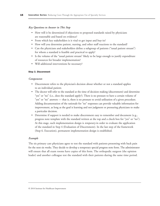### *Key Questions to Answer in This Step*

- How will it be determined if objections to proposed standards raised by physicians are reasonable and based on evidence?
- From which key stakeholders is it vital to get input and buy-in?
- How will you determine patient, nursing, and other staff reactions to the standard?
- Can the physicians and stakeholders define a subgroup of patients ("usual patient stream") for whom a standard is feasible and practical to apply?
- Is the volume of the "usual patient stream" likely to be large enough to justify expenditure of resources for broader implementation?
- Will additional interventions be necessary?

### Step 3. Discernment

### *Components*

- Discernment refers to the physician's decision about whether or not a standard applies to an individual patient.
- The doctor will refer to the standard at the time of decision making (discernment) and determine "yes" or "no" (i.e., does the standard apply?). There is no pressure to have a certain volume of "yes" or "no" answers — that is, there is no pressure to avoid utilization of a given procedure. Adding documentation of the rationale for "no" responses can provide valuable information for improvement, as long as the goal is learning and not judgment or pressuring physicians to make a particular decision.
- Determine if support is needed to make discernment easy to remember and document (e.g., progress note template with the standard written at the top and a check box for "yes" or "no"). At this stage, such implementation design is *temporary* in order to evaluate the application of the standard in Step 4 (Evaluation of Discernment). In the last step of the framework (Step 6. Execution), permanent implementation design is established.

### *Example*

The six primary care physicians agree to test the standard with patients presenting with back pain for the next six weeks. They decide to develop a temporary special progress note form. The administrator will ensure that all exam rooms have copies of this form. The orthopedic surgeon (the opinion leader) and another colleague test the standard with their patients during the same time period.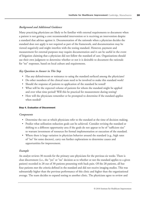# *Background and Additional Guidance*

Many practicing physicians are likely to be familiar with external requirements to document when a patient is not getting a core recommended intervention or is receiving an intervention despite a standard that advises against it. Documentation of the rationale when a physician decides the standard does not apply is not required as part of the framework, and documentation may be viewed negatively and might interfere with the testing standard. However, payment and measurement for external purposes may require documentation and it can be useful in the event of litigation claiming that a physician did not follow the standard of care. Organizations should use their own judgment to determine whether or not it is desirable to document the rationale for "no" responses, based on local culture and requirements.

# *Key Questions to Answer in This Step*

- Has any defensiveness or resistance to using the standard surfaced among the physicians?
- Do other members of the clinical team need to be involved to make this standard work?
- Should the response of patients to application of the standard be tested?
- What will be the expected volume of patients for whom the standard might be applied and over what time period? Will this be practical for measurement during testing?
- How will the physicians remember or be prompted to determine if the standard applies when needed?

### Step 4. Evaluation of Discernment

# *Components*

- Determine the rate at which physicians refer to the standard at the time of decision making.
- Predict what utilization reduction goals can be achieved. Consider revising the standard or shifting to a different opportunity area if the goals do not appear to be of "sufficient size" to warrant investment of resources for formal implementation or execution of the standard.
- Where there is large variation in physician behavior around the standard (e.g., high rates of "no" for some doctors), carry out further explorations to determine causes and opportunities for improvement.

# *Example*

An analyst reviews 30 records for the primary care physicians for the previous six weeks. There is clear discernment (i.e., the "yes" or "no" decision as to whether or not the standard applies to a given patient) recorded in 28 out of 30 patients presenting with back pain. Of the 28 patients, all but four patients met the criteria defined in the standard and did not receive imaging studies. This was substantially higher than the previous performance of this clinic and higher than the organizational average. The team decides to expand testing to another clinic. The physicians agree to review and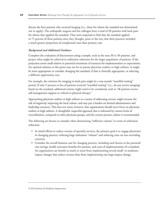discuss the four patients who received imaging (i.e., those for whom the standard was determined not to apply). The orthopedic surgeon and his colleague have a total of 20 patients with back pain for whom they applied the standard. They were surprised to find that the standard applied in 75 percent of these patients since they thought, prior to the test, that their practices included a much greater proportion of complicated cases than primary care.

# *Background and Additional Guidance*

Complete the evaluation of discernment using a sample, such as the next 30 to 50 patients, and project what might be achieved in utilization reduction for the larger population of patients. If the projection seems small relative to potential investment of resources for implementation or expectations, the optimal solution at this point may not be to pursue physician outliers or high utilizers. It might be more appropriate to consider changing the standard, if that is clinically appropriate, or selecting a different opportunity area.

For example, the criterion for imaging in back pain might be a one-month "watchful waiting" period. If only 5 percent or less of patients received "watchful waiting" (i.e., do not receive imaging) based on the standard, additional criteria might need to be considered, such as "all patients receive self-management support or referral to physical therapy."

Approaching physician outliers or high utilizers as a means of addressing overuse might increase the risk of negatively impacting the local culture, and may put a burden on limited administrative and leadership resources. This does not mean, however, that organizations should never focus on physician outliers or high utilizers. A thoughtful, respectful approach that is informed by current levels of overutilization, compared to other physician groups, and the current practice culture is recommended.

The following are factors to consider when determining "sufficient volume" in terms of utilization reduction:

- In initial efforts to reduce overuse of specialty services, the primary goal is to engage physicians in changing practice; reducing large utilization "volume" and reducing costs are less overriding concerns.
- Consider the overall business case for changing practice, including such factors as the potential cost savings, health outcomes benefits for patients, and costs of implementation of a standard. An organization can benefit as much or more from implementing several small- to moderateimpact changes that reduce overuse than from implementing one large-impact change.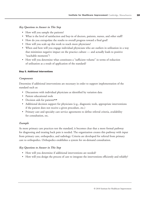# *Key Questions to Answer in This Step*

- How will you sample the patients?
- What is the level of satisfaction and buy-in of doctors, patients, nurses, and other staff?
- How do you extrapolate the results to overall progress toward a final goal?
- How will you scale up this work to reach more physicians?
- When and how will you engage individual physicians who are outliers in utilization in a way that minimizes negative impact on the practice culture — and actually leads to positive "teachable moments"?
- How will you determine what constitutes a "sufficient volume" in terms of reduction of utilization as a result of application of the standard?

# Step 5. Additional Interventions

# *Components*

Determine if additional interventions are necessary in order to support implementation of the standard such as:

- Discussions with individual physicians as identified by variation data
- Patient educational tools
- Decision aids for patients<sup>27,28</sup>
- Additional decision support for physicians (e.g., diagnostic tools, appropriate interventions if the patient does not receive a given procedure, etc.)
- Primary care and specialty care service agreements to define referral criteria, availability for consultation, etc.

# *Example*

As more primary care practices test the standard, it becomes clear that a more formal pathway for diagnosing and treating back pain is needed. The organization creates this pathway with input from primary care, orthopedics, and radiology. Criteria are developed for referral from primary care to orthopedics. Orthopedics establishes a system for on-demand consultation.

# *Key Questions to Answer in This Step*

- How will you determine if additional interventions are needed?
- How will you design the process of care to integrate the interventions efficiently and reliably?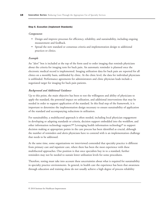### Step 6. Execution (Implement Standards)

### *Components*

- Design and improve processes for efficiency, reliability, and sustainability, including ongoing measurement and feedback.
- Spread the new standard or consensus criteria and implementation design to additional practices or clinics.

### *Example*

An "alert" box is included at the top of the form used to order imaging that reminds physicians about the criteria for imaging tests for back pain. An automatic reminder is planned once the electronic medical record is implemented. Imaging utilization data for back pain are reported for all clinics on a monthly basis, unblinded by clinic. At the clinic level, the data for individual physicians is unblinded. Performance agreements for administrators and clinic physician leads include a negotiated target for imaging for back pain patients.

### *Background and Additional Guidance*

Up to this point, the main objective has been to test the willingness and ability of physicians to apply the standard, the potential impact on utilization, and additional interventions that may be needed in order to support application of the standard. In this final step of the framework, it is important to determine the implementation design necessary to ensure sustainability of application of the standard and accompanying reductions in utilization.

For sustainability, a multifaceted approach is often needed, including local physician engagement in developing or adapting standards or criteria, decision support embedded into the workflow, and other information technology support.<sup>8,17</sup> Leveraging health information technology<sup>17</sup> to support decision making at appropriate points in the care process has been identified as crucial, although the number of reminders and alerts physicians have to contend with is an implementation challenge that needs to be addressed.

At the same time, some organizations we interviewed contended that specialty practice is different from primary care and inpatient care, where there has been the most experience with these multifaceted approaches. One position is that once specialists buy in to a standard, further reminders may not be needed to sustain lower utilization levels for some procedures.

Therefore, testing must take into account these uncertainties about what is required for sustainability in specialty practice environments. In general, in health care the experience has been that awareness through education and training alone do not usually achieve a high degree of process reliability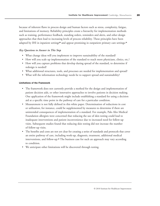because of inherent flaws in process design and human factors such as stress, complexity, fatigue, and limitations of memory. Reliability principles create a hierarchy for implementation methods such as training, performance feedback, standing orders, reminders and alerts, and other design approaches that then lead to increasing levels of process reliability. These principles have been adapted by IHI in inpatient settings<sup>38</sup> and appear promising in outpatient primary care settings.<sup>41</sup>

### *Key Questions to Answer in This Step*

- What change ideas will you implement to improve sustainability of the standard?
- How will you scale up implementation of the standard to reach more physicians, clinics, etc.?
- How will you capture problems that develop during spread of the standard, to determine if redesign is needed?
- What additional structures, tools, and processes are needed for implementation and spread?
- What will the information technology needs be to support spread and sustainability?

### Limitations of the Framework

- The framework does not currently provide a method for the design and implementation of patient decision aids, or other innovative approaches to involve patients in decision making. One application of the framework might include establishing a standard for using a decision aid at a specific time point in the pathway of care for a particular condition.
- Measurement is not fully defined in this white paper. Determination of reductions in cost or utilization, for instance, could be supplemented by measures to determine if there are unintended consequences of implementation of a standard. For example, Palo Alto Medical Foundation allergists were concerned that reducing the use of skin testing could lead to inadequate interventions and patient inconvenience due to increased need for follow-up visits. Subsequent studies found that reducing skin testing did not increase the number of follow-up visits.
- The benefits and costs are not yet clear for creating a series of standards and protocols that cover an entire pathway of care, including work-up, diagnosis, treatment, additional medical interventions, and follow-up. $\boldsymbol{a}$ . The business case for such an approach may vary according to condition.
- We anticipate other limitations will be discovered through testing.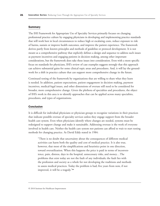## Summary

The IHI Framework for Appropriate Use of Specialty Services primarily focuses on changing professional practice culture by engaging physicians in developing and implementing practice standards that will work best in local circumstances to reduce high or escalating costs, reduce exposure to risk of harms, sustain or improve health outcomes, and improve the patient experience. The framework derives partly from known principles and methods of guideline or protocol development. It is not meant as a comprehensive pathway that explicitly defines a design and sequence to address such issues as payment incentives and engaging patients in decision making, among other important considerations, but the framework does take these issues into consideration. Even with a more specific focus on standards for physicians, IHI's review of case examples suggests strongly that this approach can achieve substantial gains for some clinical topic areas and procedures. And, it will lay the groundwork for a shift in practice culture that can support more comprehensive change in the future.

Continued testing of the framework by organizations that are willing to share what they learn is needed. In addition, patient expectations, patient engagement in decision making, payment incentives, medical-legal issues, and other dimensions of overuse still need to be considered for broader, more comprehensive change. Given the plethora of specialties and procedures, the object of IHI's work in this area is to identify approaches that can be applied across many specialties, procedures, and types of organizations.

### Conclusion

It is difficult for individual physicians or physician groups to recognize variations in their practices that indicate possible overuse of specialty services unless they engage support from the broader health care system. Even when physicians identify where changes are needed, systems must be redesigned to support change and make it sustainable. Addressing overuse is the work of everyone involved in health care. Neither the health care system nor patients can afford to wait to start testing methods for changing practice. As David Eddy stated in 1984:

"There is no doubt that uncertainty about the consequences of different medical activities can harm both the quality and cost of medical practice. It is also true, however, that most of the simplifications and heuristics point in one direction, toward overutilization. When this happens the price is paid in terms of inconvenience, pain, distress, days in the hospital, unnecessary risks, and money…The problems that exist today are not the fault of any individuals; the fault lies with the profession and society as a whole for not developing the traditions and methods to assess medical practices. Today the problem is bad; five years from now, if not improved, it will be a tragedy."<sup>24</sup>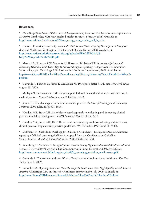# **References**

<sup>1</sup> *How Many More Studies Will It Take: A Compendium of Evidence That Our Healthcare System Can Do Better.* Cambridge, MA: New England Health Institute; February 2008. Available at: http://www.nehi.net/publications/30/how\_many\_more\_studies\_will\_it\_take.

<sup>2</sup> National Priorities Partnership. *National Priorities and Goals: Aligning Our Efforts to Transform America's Healthcare.* Washington, DC: National Quality Forum; 2008. Available at: [http://www.nationalprioritiespartnership.org/uploadedFiles/NPP/08-253-](http://www.nationalprioritiespartnership.org/uploadedFiles/NPP/08-253-NQF%20ReportLo%5B6%5D.pdf) NQF%20ReportLo%5B6%5D.pdf.

<sup>3</sup> Martin LA, Neumann CW, Mountford J, Bisognano M, Nolan TW. *Increasing Efficiency and Enhancing Value in Health Care: Ways to Achieve Savings in Operating Costs per Year.* IHI Innovation Series white paper. Cambridge, MA: Institute for Healthcare Improvement; 2009. Available at: [http://www.ihi.org/IHI/Results/WhitePapers/IncreasingEfficiencyEnhancingValueinHealthCareWhitePa](http://www.ihi.org/IHI/Results/WhitePapers/IncreasingEfficiencyEnhancingValueinHealthCareWhitePaper.htm) per.htm.

<sup>4</sup> Gawande A, Berwick D, Fisher E, McClellan M. 10 steps to better health care. *New York Times.* August 13, 2009.

<sup>5</sup> Mulley AG. Inconvenient truths about supplier induced demand and unwarranted variation in medical practice. *British Medical Journal.* 2009;339:b4073.

<sup>6</sup> James BC. The challenge of variation in medical practice. *Archives of Pathology and Laboratory Medicine.* 2000 Jul;124(7):1001-1003.

<sup>7</sup> Handley MR, Stuart ME. An evidence-based approach to evaluating and improving clinical practice: Guideline development. *HMO Practice.* 1994 Mar;8(1):10-19.

<sup>8</sup> Handley MR, Stuart ME, Kirz HL. An evidence-based approach to evaluating and improving clinical practice: Implementing practice guidelines. *HMO Practice.* 1994 Jun;8(2):75-83.

<sup>9</sup> Shiffman RN, Shekelle P, Overhage JM, Slutsky J, Grimshaw J, Deshpande AM. Standardized reporting of clinical practice guidelines: A proposal from the Conference on Guideline Standardization. *Annals of Internal Medicine.* 2003;139(6):493-498.

<sup>10</sup> Wennberg JE. *Variation in Use of Medicare Services Among Regions and Selected Academic Medical Centers: Is More Better?* New York: The Commonwealth Fund; December 2005. Available at: http://www.commonwealthfund.org/usr\_doc/874\_wennberg\_variation\_medicaresvcs.pdf.

<sup>11</sup> Gawande A. The cost conundrum: What a Texas town can teach us about healthcare. *The New Yorker.* June 1, 2009.

<sup>12</sup> Berwick DM. Opening Remarks. *How Do They Do That?: Low-Cost, High-Quality Health Care in America.* Cambridge, MA: Institute for Healthcare Improvement; July 2009. Available at: http://www.ihi.org/IHI/Programs/StrategicInitiatives/HowDoTheyDoThat.htm?TabId=4.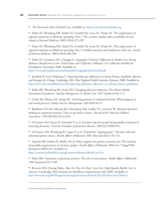The Darmouth Atlas of Health Care. Available at: http://www.dartmouthatlas.org.

<sup>14</sup> Fisher ES, Wennberg DR, Stukel TA, Gottlieb DJ, Lucas FL, Pinder EL. The implications of regional variations in Medicare spending, Part 1: The content, quality, and accessibility of care. *Annals of Internal Medicine.* 2003;138(4):273-287.

<sup>15</sup> Fisher ES, Wennberg DR, Stukel TA, Gottlieb DJ, Lucas FL, Pinder EL. The implications of regional variations in Medicare spending, Part 2: Health outcomes and satisfaction with care. *Annals of Internal Medicine.* 2003;138(4):288-298.

<sup>16</sup> Fisher ES, Goodman DC, Changra A. *Geography Is Destiny: Differences in Health Care Among Medicare Beneficiaries in the United States and California.* Oakland, CA: California HealthCare Foundation; November 2008. Available at: http://www.chcf.org/documents/hospitals/GeographyIsDestiny08.pdf.

<sup>17</sup> Kenefick H, Lee J, Fleishman V. *Improving Physician Adherence to Clinical Practice Guidelines: Barriers and Strategies for Change.* Cambridge, MA: New England Health Institute; February 2008. Available at: http://www.nehi.net/publications/26/improving\_physician\_adherence\_to\_clinical\_practice\_guidelines.

<sup>18</sup> Keller RB, Wennberg DE, Soule DN. Changing physician behavior: The Maine Medial Assessment Foundation. *Quality Management in Health Care.* 1997 Summer;5(4):1-11.

<sup>19</sup> Gotler RS, Kikano GE, Stange KC. Involving patients in medical decisions: What happens in real-world practice? *Family Practice Management.* 2001;8(8):50-51.

<sup>20</sup> Braddock CH 3rd, Edwards KA, Hasenberg NM, Laidley TL, Levinson W. Informed decision making in outpatient practice: Time to get back to basics. *Journal of the American Medical Association.* 1999;282(24):2313-2320.

<sup>21</sup> O'Connor AM, Stacey D, Entwistle V, et al. Decision aids for people facing health treatment or screening decisions. *Cochrane Database of Systematic Reviews.* 2003;(2):CD001431.

<sup>22</sup> O'Connor AM, Wennberg JE, Legare F, et al. Toward the "tipping point": Decision aids and informed patient choice. *Health Affairs (Millwood).* 2007 May-Jun;26(3):716-725.

<sup>23</sup> Sepucha KR, Fowler FJ, Mulley AG Jr. Policy support for patient-centered care: The need for measurable improvement in decision quality. *Health Affairs (Millwood).* 2004 Oct 7;Suppl Web Exclusives:VAR54-62. Available at:

http://content.healthaffairs.org/cgi/content/abstract/hlthaff.var.54v1.

<sup>24</sup> Eddy DM. Variations in physician practice: The role of uncertainty. *Health Affairs (Millwood).* 1984 Summer;3(2):74-89.

<sup>25</sup> Berwick DM. Closing Slides. *How Do They Do That?: Low-Cost, High-Quality Health Care in America.* Cambridge, MA: Institute for Healthcare Improvement; July 2009. Available at: http://www.ihi.org/IHI/Programs/StrategicInitiatives/HowDoTheyDoThat.htm?TabId=4.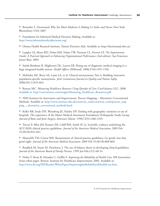<sup>26</sup> Brownlee S. *Overtreated: Why Too Much Medicine Is Making Us Sicker and Poorer.* New York: Bloomsbury USA; 2007.

<sup>27</sup> Foundation for Informed Medical Decision Making. Available at: http://www.informedmedicaldecisions.org/.

<sup>28</sup> Ottawa Health Research Institute. Patient Decision Aids. Available at: http://decisionaid.ohri.ca/.

<sup>29</sup> Langley GJ, Moen RD, Nolan KM, Nolan TW, Norman CL, Provost LP. *The Improvement Guide: A Practical Approach to Enhancing Organizational Performance (2nd edition).* San Francisco: Jossey-Bass; 2009.

<sup>30</sup> Smith-Bindman R, Miglioretti DL, Larson EB. Rising use of diagnostic medical imaging in a large integrated health system. *Health Affairs (Millwood).* 2008;27(6):1491-1502.

<sup>31</sup> McKinley KE, Berry SA, Laam LA, et al. Clinical microsystems, Part 4: Building innovative population-specific mesosystems. *Joint Commission Journal on Quality and Patient Safety.* 2008;34(11):655-663.

<sup>32</sup> Rattray MC. *Measuring Healthcare Resources Using Episodes of Care*. CareVariance LLC; 2008. Available at: http://carevariance.com/images/Measuring\_Healthcare\_Resources.pdf.

<sup>33</sup> NHS Institute for Innovation and Improvement. Process Mapping – Alternative Conventional [Methods. Available at: http://www.institute.nhs.uk/creativity\\_tools/creativity\\_tools/process\\_map](http://www.institute.nhs.uk/creativity_tools/creativity_tools/process_mapping_-_alternative_conventional_methods.html) ping\_-\_alternative\_conventional\_methods.html.

<sup>34</sup> Keller RB, Soule DN, Wennberg JE, Hanley DF. Dealing with geographic variations in use of hospitals. The experience of the Maine Medical Assessment Foundation Orthopaedic Study Group. *Journal of Bone and Joint Surgery, American Volume.* 1990;72(9):1286-1293.

<sup>35</sup> Tricoci P, Allen JM, Kramer JM, Califf RM, Smith SC Jr. Scientific evidence underlying the ACC/AHA clinical practice guidelines. *Journal of the American Medical Association.* 2009 Feb 25;301(8):831-841.

<sup>36</sup> Shaneyfelt TM, Centor RM. Reassessment of clinical practice guidelines: Go gently into that good night. *Journal of the American Medical Association.* 2009 Feb 25;301(8):868-869.

<sup>37</sup> Braddick M, Stuart M, Hrachovec J. The use of balance sheets in developing clinical guidelines. *Journal of the American Board of Family Practice.* 1999 Jan-Feb;12(1):48-54.

<sup>38</sup> Nolan T, Resar R, Haraden C, Griffin F. *Improving the Reliability of Health Care.* IHI Innovation Series white paper. Boston: Institute for Healthcare Improvement; 2004. Available at: http://www.ihi.org/IHI/Results/WhitePapers/ImprovingtheReliabilityofHealthCare.htm.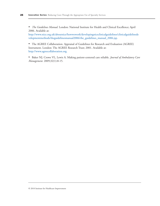<sup>39</sup> *The Guidelines Manual.* London: National Institute for Health and Clinical Excellence; April 2006. Available at:

http://www.nice.org.uk/aboutnice/howwework/developingniceclinicalguidelines/clinicalguidelinede [velopmentmethods/theguidelinesmanual2006/the\\_guidelines\\_manual\\_2006.jsp.](http://www.nice.org.uk/aboutnice/howwework/developingniceclinicalguidelines/clinicalguidelinedevelopmentmethods/theguidelinesmanual2006/the_guidelines_manual_2006.jsp)

<sup>40</sup> The AGREE Collaboration. Appraisal of Guidelines for Research and Evaluation (AGREE) Instrument. London: The AGREE Research Trust; 2001. Available at: http://www.agreecollaboration.org.

<sup>41</sup> Baker NJ, Crowe VL, Lewis A. Making patient-centered care reliable. *Journal of Ambulatory Care Management.* 2009;32(1):8-15.